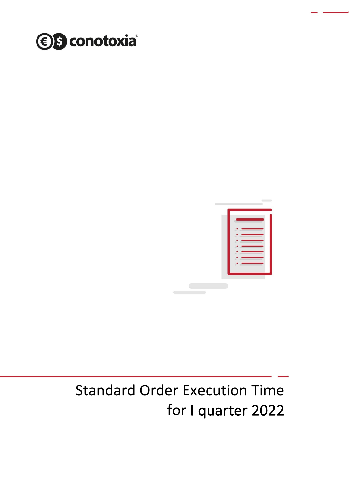



## Standard Order Execution Time for I quarter 2022